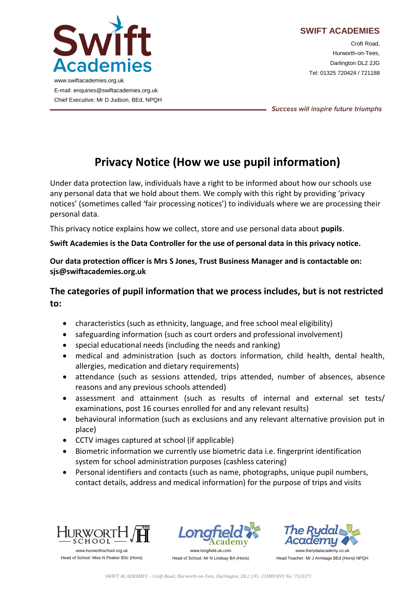

Croft Road, Hurworth-on-Tees, Darlington DL2 2JG Tel: 01325 720424 / 721188

Success will inspire future triumphs

# **Privacy Notice (How we use pupil information)**

Under data protection law, individuals have a right to be informed about how our schools use any personal data that we hold about them. We comply with this right by providing 'privacy notices' (sometimes called 'fair processing notices') to individuals where we are processing their personal data.

This privacy notice explains how we collect, store and use personal data about **pupils**.

**Swift Academies is the Data Controller for the use of personal data in this privacy notice.**

**Our data protection officer is Mrs S Jones, Trust Business Manager and is contactable on: sjs@swiftacademies.org.uk**

## **The categories of pupil information that we process includes, but is not restricted to:**

- characteristics (such as ethnicity, language, and free school meal eligibility)
- safeguarding information (such as court orders and professional involvement)
- special educational needs (including the needs and ranking)
- medical and administration (such as doctors information, child health, dental health, allergies, medication and dietary requirements)
- attendance (such as sessions attended, trips attended, number of absences, absence reasons and any previous schools attended)
- assessment and attainment (such as results of internal and external set tests/ examinations, post 16 courses enrolled for and any relevant results)
- behavioural information (such as exclusions and any relevant alternative provision put in place)
- CCTV images captured at school (if applicable)
- Biometric information we currently use biometric data i.e. fingerprint identification system for school administration purposes (cashless catering)
- Personal identifiers and contacts (such as name, photographs, unique pupil numbers, contact details, address and medical information) for the purpose of trips and visits







Head of School: Mr N Lindsay BA (Hons)

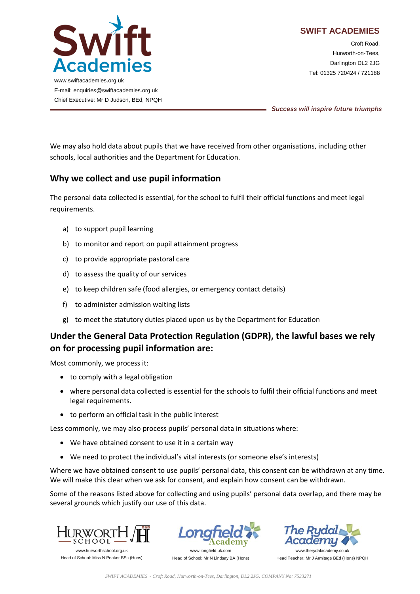

Croft Road, Hurworth-on-Tees, Darlington DL2 2JG Tel: 01325 720424 / 721188

E-mail: enquiries@swiftacademies.org.uk Chief Executive: Mr D Judson, BEd, NPQH

Success will inspire future triumphs

We may also hold data about pupils that we have received from other organisations, including other schools, local authorities and the Department for Education.

#### **Why we collect and use pupil information**

The personal data collected is essential, for the school to fulfil their official functions and meet legal requirements.

- a) to support pupil learning
- b) to monitor and report on pupil attainment progress
- c) to provide appropriate pastoral care
- d) to assess the quality of our services
- e) to keep children safe (food allergies, or emergency contact details)
- f) to administer admission waiting lists
- g) to meet the statutory duties placed upon us by the Department for Education

## **Under the General Data Protection Regulation (GDPR), the lawful bases we rely on for processing pupil information are:**

Most commonly, we process it:

- to comply with a legal obligation
- where personal data collected is essential for the schools to fulfil their official functions and meet legal requirements.
- to perform an official task in the public interest

Less commonly, we may also process pupils' personal data in situations where:

- We have obtained consent to use it in a certain way
- We need to protect the individual's vital interests (or someone else's interests)

Where we have obtained consent to use pupils' personal data, this consent can be withdrawn at any time. We will make this clear when we ask for consent, and explain how consent can be withdrawn.

Some of the reasons listed above for collecting and using pupils' personal data overlap, and there may be several grounds which justify our use of this data.



Head of School: Miss N Peaker BSc (Hons)





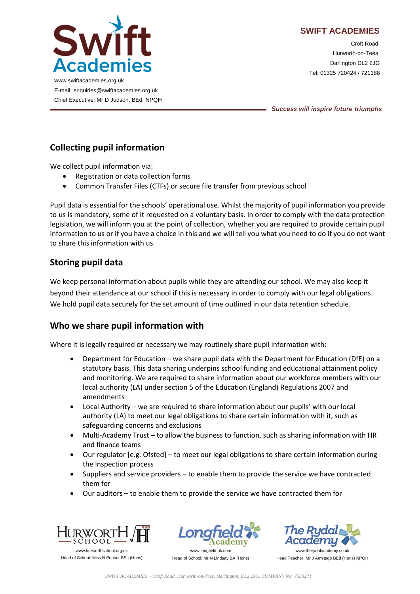

Croft Road, Hurworth-on-Tees, Darlington DL2 2JG Tel: 01325 720424 / 721188

www.swiftacademies.org.uk E-mail: enquiries@swiftacademies.org.uk Chief Executive: Mr D Judson, BEd, NPQH

Success will inspire future triumphs

## **Collecting pupil information**

We collect pupil information via:

- Registration or data collection forms
- Common Transfer Files (CTFs) or secure file transfer from previous school

Pupil data is essential for the schools' operational use. Whilst the majority of pupil information you provide to us is mandatory, some of it requested on a voluntary basis. In order to comply with the data protection legislation, we will inform you at the point of collection, whether you are required to provide certain pupil information to us or if you have a choice in this and we will tell you what you need to do if you do not want to share this information with us.

## **Storing pupil data**

We keep personal information about pupils while they are attending our school. We may also keep it beyond their attendance at our school if this is necessary in order to comply with our legal obligations. We hold pupil data securely for the set amount of time outlined in our data retention schedule.

## **Who we share pupil information with**

Where it is legally required or necessary we may routinely share pupil information with:

- Department for Education we share pupil data with the Department for Education (DfE) on a statutory basis. This data sharing underpins school funding and educational attainment policy and monitoring. We are required to share information about our workforce members with our local authority (LA) under section 5 of the Education (England) Regulations 2007 and amendments
- Local Authority we are required to share information about our pupils' with our local authority (LA) to meet our legal obligations to share certain information with it, such as safeguarding concerns and exclusions
- Multi-Academy Trust to allow the business to function, such as sharing information with HR and finance teams
- Our regulator [e.g. Ofsted] to meet our legal obligations to share certain information during the inspection process
- Suppliers and service providers to enable them to provide the service we have contracted them for
- Our auditors to enable them to provide the service we have contracted them for







www.longfield.uk.com Head of School: Mr N Lindsay BA (Hons)

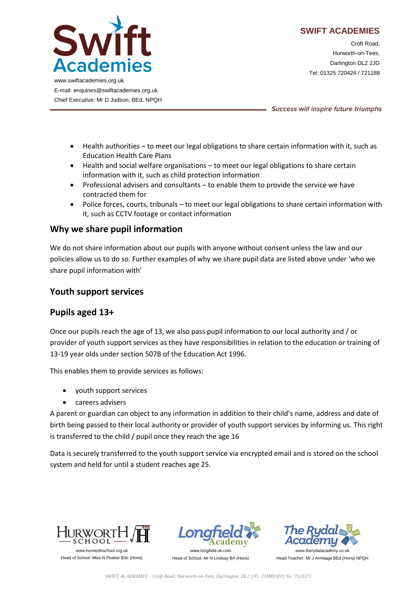

Croft Road, Hurworth-on-Tees, Darlington DL2 2JG Tel: 01325 720424 / 721188

www.swiftacademies.org.uk E-mail: enquiries@swiftacademies.org.uk Chief Executive: Mr D Judson, BEd, NPQH

Success will inspire future triumphs

- Health authorities to meet our legal obligations to share certain information with it, such as Education Health Care Plans
- Health and social welfare organisations to meet our legal obligations to share certain information with it, such as child protection information
- Professional advisers and consultants to enable them to provide the service we have contracted them for
- Police forces, courts, tribunals to meet our legal obligations to share certain information with it, such as CCTV footage or contact information

#### **Why we share pupil information**

We do not share information about our pupils with anyone without consent unless the law and our policies allow us to do so. Further examples of why we share pupil data are listed above under 'who we share pupil information with'

#### **Youth support services**

## **Pupils aged 13+**

Once our pupils reach the age of 13, we also pass pupil information to our local authority and / or provider of youth support services as they have responsibilities in relation to the education or training of 13-19 year olds under section 507B of the Education Act 1996.

This enables them to provide services as follows:

- youth support services
- careers advisers

A parent or guardian can object to any information in addition to their child's name, address and date of birth being passed to their local authority or provider of youth support services by informing us. This right is transferred to the child / pupil once they reach the age 16

Data is securely transferred to the youth support service via encrypted email and is stored on the school system and held for until a student reaches age 25.



Head of School: Miss N Peaker BSc (Hons)



www.longfield.uk.com Head of School: Mr N Lindsay BA (Hons)

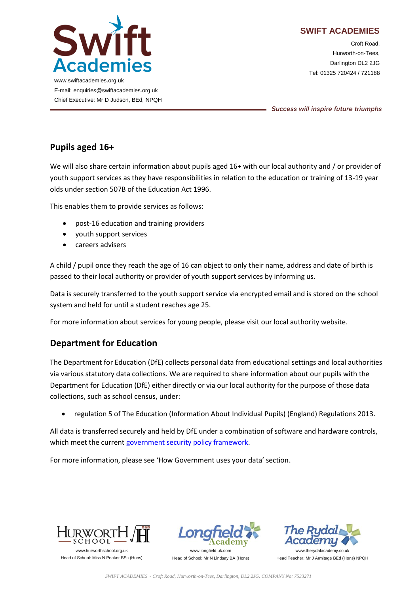

Croft Road, Hurworth-on-Tees, Darlington DL2 2JG Tel: 01325 720424 / 721188

www.swiftacademies.org.uk E-mail: enquiries@swiftacademies.org.uk Chief Executive: Mr D Judson, BEd, NPQH

Success will inspire future triumphs

## **Pupils aged 16+**

We will also share certain information about pupils aged 16+ with our local authority and / or provider of youth support services as they have responsibilities in relation to the education or training of 13-19 year olds under section 507B of the Education Act 1996.

This enables them to provide services as follows:

- post-16 education and training providers
- youth support services
- careers advisers

A child / pupil once they reach the age of 16 can object to only their name, address and date of birth is passed to their local authority or provider of youth support services by informing us.

Data is securely transferred to the youth support service via encrypted email and is stored on the school system and held for until a student reaches age 25.

For more information about services for young people, please visit our local authority website.

## **Department for Education**

The Department for Education (DfE) collects personal data from educational settings and local authorities via various statutory data collections. We are required to share information about our pupils with the Department for Education (DfE) either directly or via our local authority for the purpose of those data collections, such as school census, under:

regulation 5 of The Education (Information About Individual Pupils) (England) Regulations 2013.

All data is transferred securely and held by DfE under a combination of software and hardware controls, which meet the current [government security policy framework.](https://www.gov.uk/government/publications/security-policy-framework)

For more information, please see 'How Government uses your data' section.



Head of School: Miss N Peaker BSc (Hons)



Head of School: Mr N Lindsay BA (Hons)